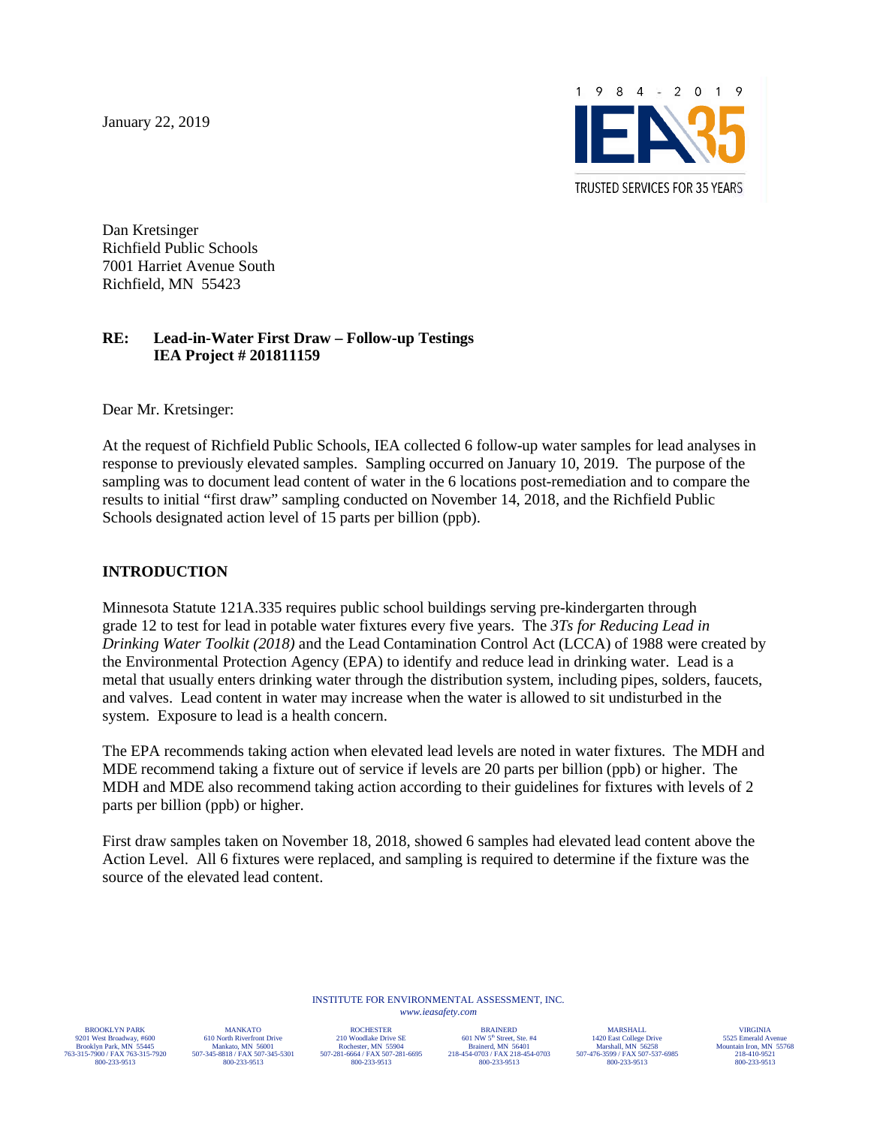January 22, 2019



Dan Kretsinger Richfield Public Schools 7001 Harriet Avenue South Richfield, MN 55423

#### **RE: Lead-in-Water First Draw – Follow-up Testings IEA Project # 201811159**

Dear Mr. Kretsinger:

At the request of Richfield Public Schools, IEA collected 6 follow-up water samples for lead analyses in response to previously elevated samples. Sampling occurred on January 10, 2019. The purpose of the sampling was to document lead content of water in the 6 locations post-remediation and to compare the results to initial "first draw" sampling conducted on November 14, 2018, and the Richfield Public Schools designated action level of 15 parts per billion (ppb).

#### **INTRODUCTION**

Minnesota Statute 121A.335 requires public school buildings serving pre-kindergarten through grade 12 to test for lead in potable water fixtures every five years. The *3Ts for Reducing Lead in Drinking Water Toolkit (2018)* and the Lead Contamination Control Act (LCCA) of 1988 were created by the Environmental Protection Agency (EPA) to identify and reduce lead in drinking water. Lead is a metal that usually enters drinking water through the distribution system, including pipes, solders, faucets, and valves. Lead content in water may increase when the water is allowed to sit undisturbed in the system. Exposure to lead is a health concern.

The EPA recommends taking action when elevated lead levels are noted in water fixtures. The MDH and MDE recommend taking a fixture out of service if levels are 20 parts per billion (ppb) or higher. The MDH and MDE also recommend taking action according to their guidelines for fixtures with levels of 2 parts per billion (ppb) or higher.

First draw samples taken on November 18, 2018, showed 6 samples had elevated lead content above the Action Level. All 6 fixtures were replaced, and sampling is required to determine if the fixture was the source of the elevated lead content.

> INSTITUTE FOR ENVIRONMENTAL ASSESSMENT, INC. *<www.ieasafety.com>*

BROOKLYN PARK 9201 West Broadway, #600 Brooklyn Park, MN 55445 763-315-7900 / FAX 763-315-7920 800-233-9513

MANKATO 610 North Riverfront Drive Mankato, MN 56001 507-345-8818 / FAX 507-345-5301 800-233-9513

ROCHESTER 210 Woodlake Drive SE Rochester, MN 55904 507-281-6664 / FAX 507-281-6695 800-233-9513

BRAINERD 601 NW 5th Street, Ste. #4 Brainerd, MN 56401 218-454-0703 / FAX 218-454-0703 800-233-9513

MARSHALL 1420 East College Drive Marshall, MN 56258 507-476-3599 / FAX 507-537-6985 800-233-9513

VIRGINIA 5525 Emerald Ave Mountain Iron, MN 55768 218-410-9521 800-233-9513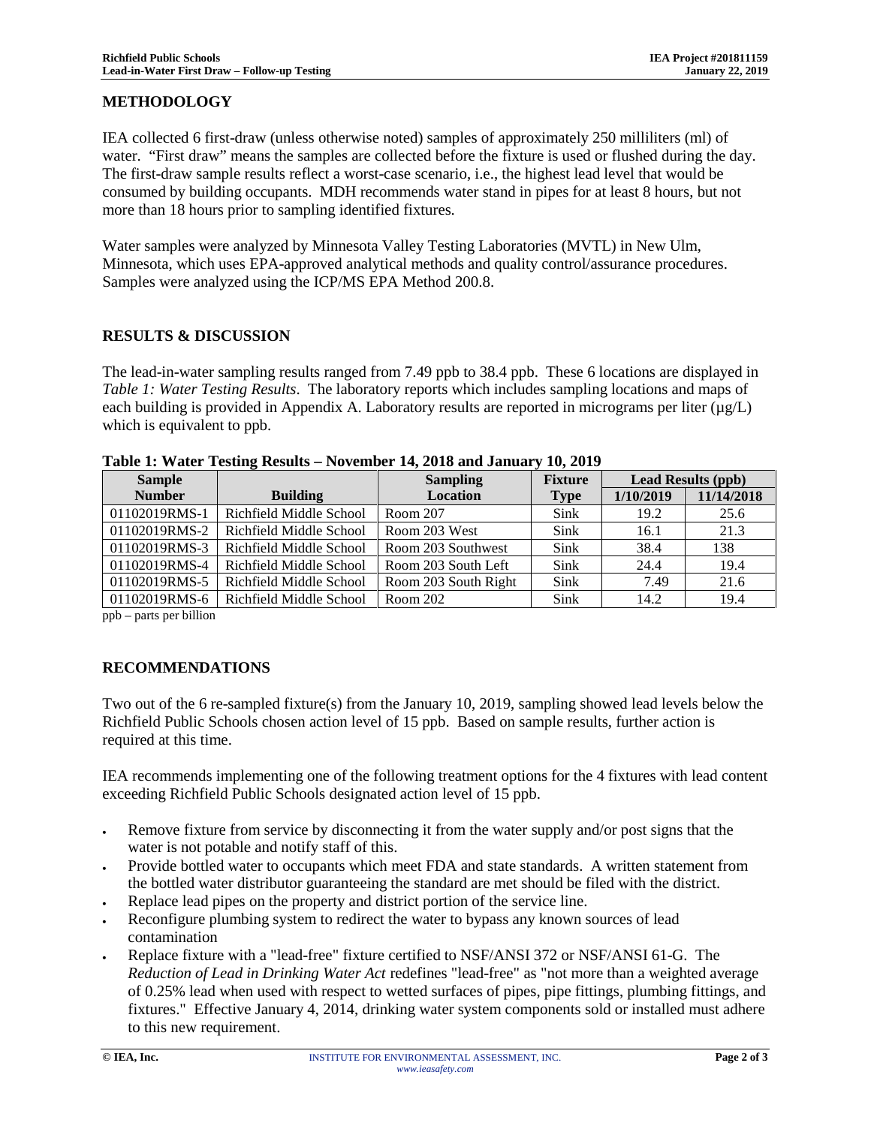#### **METHODOLOGY**

IEA collected 6 first-draw (unless otherwise noted) samples of approximately 250 milliliters (ml) of water. "First draw" means the samples are collected before the fixture is used or flushed during the day. The first-draw sample results reflect a worst-case scenario, i.e., the highest lead level that would be consumed by building occupants. MDH recommends water stand in pipes for at least 8 hours, but not more than 18 hours prior to sampling identified fixtures.

Water samples were analyzed by Minnesota Valley Testing Laboratories (MVTL) in New Ulm, Minnesota, which uses EPA-approved analytical methods and quality control/assurance procedures. Samples were analyzed using the ICP/MS EPA Method 200.8.

#### **RESULTS & DISCUSSION**

The lead-in-water sampling results ranged from 7.49 ppb to 38.4 ppb. These 6 locations are displayed in *Table 1: Water Testing Results*. The laboratory reports which includes sampling locations and maps of each building is provided in Appendix A. Laboratory results are reported in micrograms per liter  $(\mu g/L)$ which is equivalent to ppb.

| <b>Sample</b> |                         | <b>Sampling</b>      | <b>Fixture</b> | <b>Lead Results (ppb)</b> |            |
|---------------|-------------------------|----------------------|----------------|---------------------------|------------|
| <b>Number</b> | <b>Building</b>         | <b>Location</b>      | <b>Type</b>    | 1/10/2019                 | 11/14/2018 |
| 01102019RMS-1 | Richfield Middle School | Room 207             | <b>Sink</b>    | 19.2                      | 25.6       |
| 01102019RMS-2 | Richfield Middle School | Room 203 West        | <b>Sink</b>    | 16.1                      | 21.3       |
| 01102019RMS-3 | Richfield Middle School | Room 203 Southwest   | <b>Sink</b>    | 38.4                      | 138        |
| 01102019RMS-4 | Richfield Middle School | Room 203 South Left  | Sink           | 24.4                      | 19.4       |
| 01102019RMS-5 | Richfield Middle School | Room 203 South Right | Sink           | 7.49                      | 21.6       |
| 01102019RMS-6 | Richfield Middle School | Room 202             | <b>Sink</b>    | 14.2                      | 19.4       |

**Table 1: Water Testing Results – November 14, 2018 and January 10, 2019** 

ppb – parts per billion

#### **RECOMMENDATIONS**

Two out of the 6 re-sampled fixture(s) from the January 10, 2019, sampling showed lead levels below the Richfield Public Schools chosen action level of 15 ppb. Based on sample results, further action is required at this time.

IEA recommends implementing one of the following treatment options for the 4 fixtures with lead content exceeding Richfield Public Schools designated action level of 15 ppb.

- Remove fixture from service by disconnecting it from the water supply and/or post signs that the water is not potable and notify staff of this.
- Provide bottled water to occupants which meet FDA and state standards. A written statement from the bottled water distributor guaranteeing the standard are met should be filed with the district.
- Replace lead pipes on the property and district portion of the service line.
- Reconfigure plumbing system to redirect the water to bypass any known sources of lead contamination
- · Replace fixture with a "lead-free" fixture certified to NSF/ANSI 372 or NSF/ANSI 61-G. The *Reduction of Lead in Drinking Water Act* redefines "lead-free" as "not more than a weighted average of 0.25% lead when used with respect to wetted surfaces of pipes, pipe fittings, plumbing fittings, and fixtures." Effective January 4, 2014, drinking water system components sold or installed must adhere to this new requirement.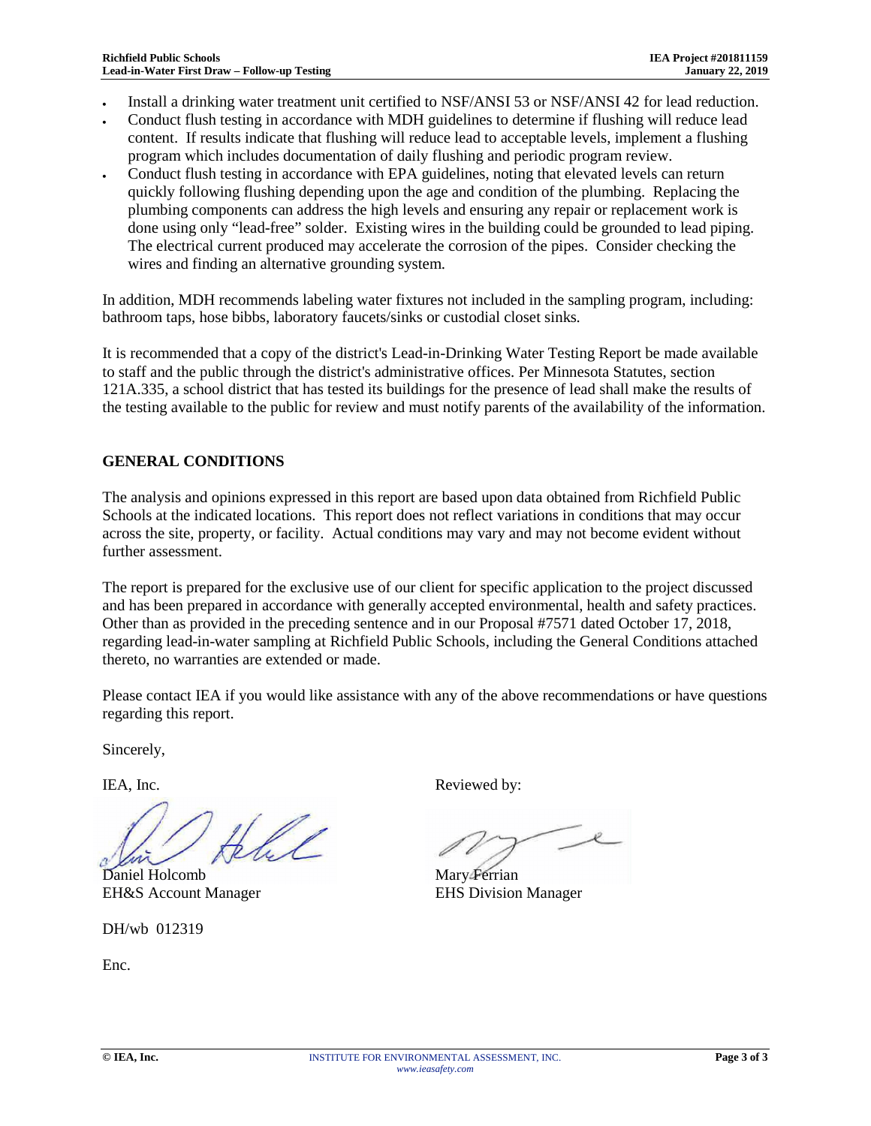- · Install a drinking water treatment unit certified to NSF/ANSI 53 or NSF/ANSI 42 for lead reduction.
- · Conduct flush testing in accordance with MDH guidelines to determine if flushing will reduce lead content. If results indicate that flushing will reduce lead to acceptable levels, implement a flushing program which includes documentation of daily flushing and periodic program review.
- · Conduct flush testing in accordance with EPA guidelines, noting that elevated levels can return quickly following flushing depending upon the age and condition of the plumbing. Replacing the plumbing components can address the high levels and ensuring any repair or replacement work is done using only "lead-free" solder. Existing wires in the building could be grounded to lead piping. The electrical current produced may accelerate the corrosion of the pipes. Consider checking the wires and finding an alternative grounding system.

In addition, MDH recommends labeling water fixtures not included in the sampling program, including: bathroom taps, hose bibbs, laboratory faucets/sinks or custodial closet sinks.

It is recommended that a copy of the district's Lead-in-Drinking Water Testing Report be made available to staff and the public through the district's administrative offices. Per Minnesota Statutes, section 121A.335, a school district that has tested its buildings for the presence of lead shall make the results of the testing available to the public for review and must notify parents of the availability of the information.

### **GENERAL CONDITIONS**

The analysis and opinions expressed in this report are based upon data obtained from Richfield Public Schools at the indicated locations. This report does not reflect variations in conditions that may occur across the site, property, or facility. Actual conditions may vary and may not become evident without further assessment.

The report is prepared for the exclusive use of our client for specific application to the project discussed and has been prepared in accordance with generally accepted environmental, health and safety practices. Other than as provided in the preceding sentence and in our Proposal #7571 dated October 17, 2018, regarding lead-in-water sampling at Richfield Public Schools, including the General Conditions attached thereto, no warranties are extended or made.

Please contact IEA if you would like assistance with any of the above recommendations or have questions regarding this report.

Sincerely,

Ull

Daniel Holcomb Mary Ferrian EH&S Account Manager EHS Division Manager

DH/wb 012319

Enc.

IEA, Inc. Reviewed by: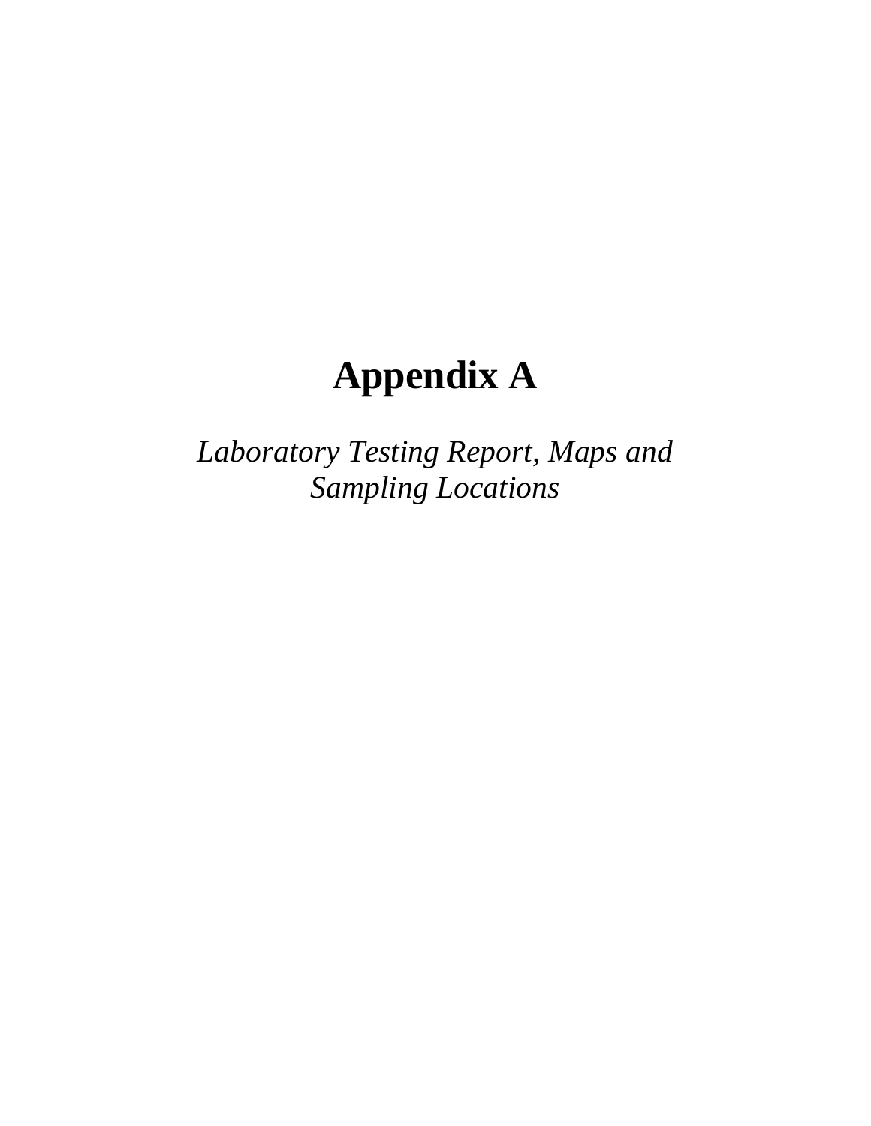# **Appendix A**

*Laboratory Testing Report, Maps and Sampling Locations*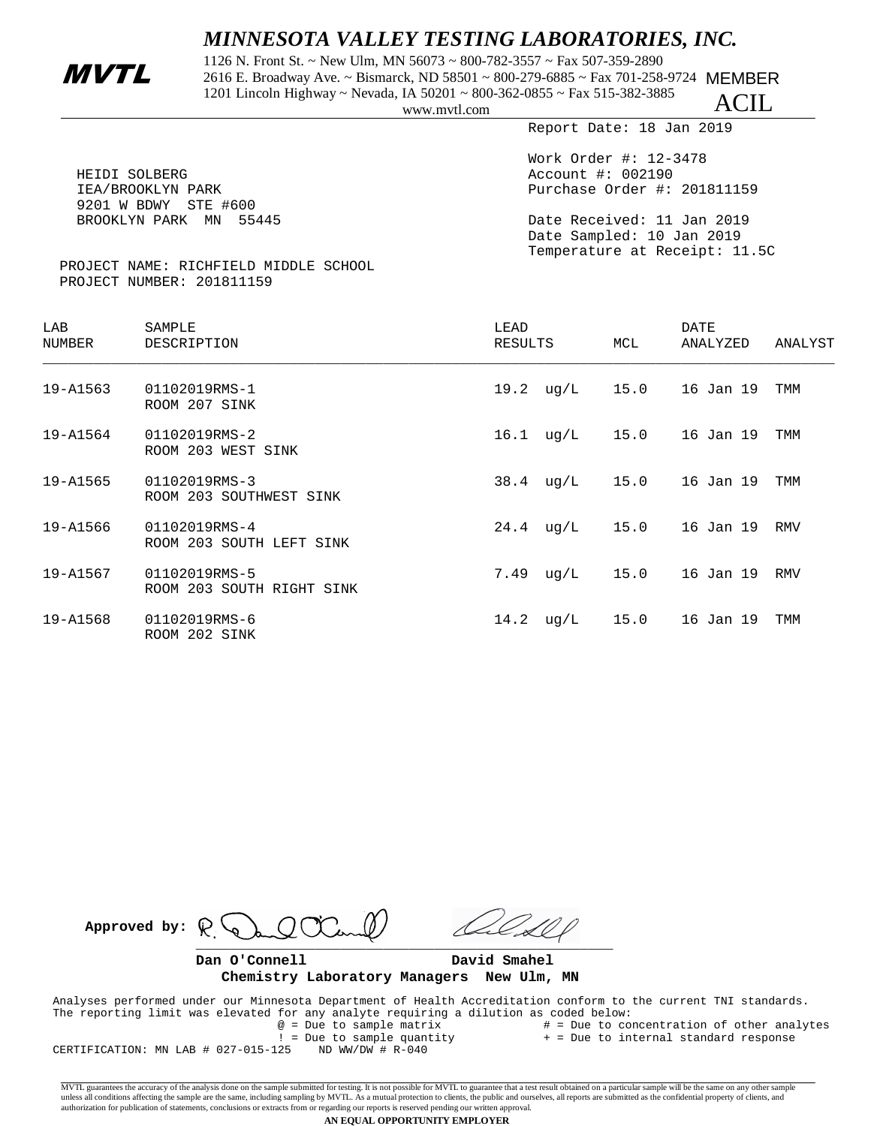## *MINNESOTA VALLEY TESTING LABORATORIES, INC.*

1126 N. Front St. ~ New Ulm, MN 56073 ~ 800-782-3557 ~ Fax 507-359-2890<br>2616 E. Broadway Ave. ~ Bismarck, ND 58501 ~ 800-279-6885 ~ Fax 701-258-9724 MEMBER 1201 Lincoln Highway ~ Nevada, IA 50201 ~ 800-362-0855 ~ Fax 515-382-3885

www.mvtl.com

Report Date: 18 Jan 2019

ACIL

| HEIDI SOLBERG                         | Work Order #: $12-3478$<br>Account #: 002190 |
|---------------------------------------|----------------------------------------------|
| IEA/BROOKLYN PARK                     | Purchase Order #: 201811159                  |
| 9201 W BDWY STE #600                  |                                              |
| BROOKLYN PARK MN 55445                | Date Received: 11 Jan 2019                   |
|                                       | Date Sampled: 10 Jan 2019                    |
|                                       | Temperature at Receipt: 11.5C                |
| PROJECT NAME: RICHFIELD MIDDLE SCHOOL |                                              |
|                                       |                                              |

|  | PROJECT NUMBER: 201811159 |
|--|---------------------------|
|  |                           |

| LAB<br>NUMBER | SAMPLE<br>DESCRIPTION                      | LEAD<br>RESULTS          | MCL  | DATE<br>ANALYZED | ANALYST |
|---------------|--------------------------------------------|--------------------------|------|------------------|---------|
| 19-A1563      | 01102019RMS-1<br>ROOM 207 SINK             | $19.2 \text{ ug/L}$      | 15.0 | 16 Jan 19        | TMM     |
| 19-A1564      | 01102019RMS-2<br>ROOM 203 WEST SINK        | $16.1 \quad \text{uq/L}$ | 15.0 | 16 Jan 19        | TMM     |
| 19-A1565      | 01102019RMS-3<br>ROOM 203 SOUTHWEST SINK   | $38.4 \text{ uq/L}$      | 15.0 | 16 Jan 19        | TMM     |
| 19-A1566      | 01102019RMS-4<br>ROOM 203 SOUTH LEFT SINK  | $24.4 \text{ uq/L}$      | 15.0 | 16 Jan 19        | RMV     |
| 19-A1567      | 01102019RMS-5<br>ROOM 203 SOUTH RIGHT SINK | 7.49<br>uq/L             | 15.0 | 16 Jan 19        | RMV     |
| 19-A1568      | 01102019RMS-6<br>ROOM 202 SINK             | $14.2 \text{ ug/L}$      | 15.0 | 16 Jan 19        | TMM     |

Approved by:  $\mathbb{R}$  $\frac{1}{2}$ 

. D

**Dan O'Connell David Smahel Chemistry Laboratory Managers New Ulm, MN**

 Analyses performed under our Minnesota Department of Health Accreditation conform to the current TNI standards. The reporting limit was elevated for any analyte requiring a dilution as coded below:<br>  $@ = \text{Due to sample matrix}$  # = Due to co # = Due to concentration of other analytes

 $! = Due to sample quantity + = Due to internal standard response  
25 ND WW/DW # R-040$ CERTIFICATION: MN LAB  $#$  027-015-125

MVTL guarantees the accuracy of the analysis done on the sample submitted for testing. It is not possible for MVTL to guarantee that a test result obtained on a particular sample will be the same on any other sample unless all conditions affecting the sample are the same, including sampling by MVTL. As a mutual protection to clients, the public and ourselves, all reports are submitted as the confidential property of clients, and<br>autho

#### **AN EQUAL OPPORTUNITY EMPLOYER**